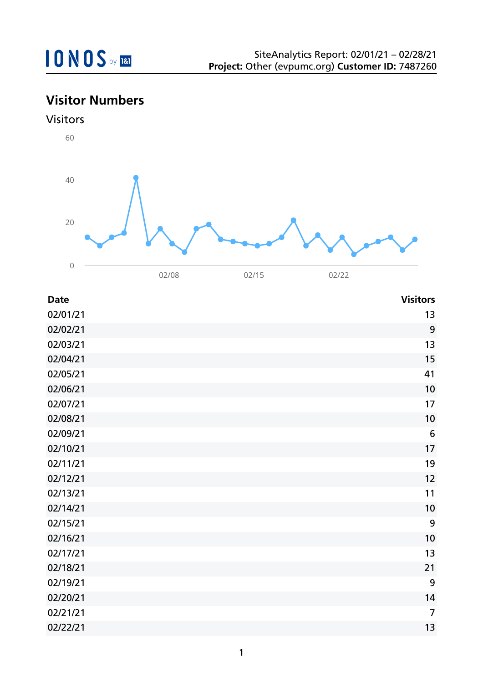## **Visitor Numbers**

## Visitors



| <b>Date</b> | <b>Visitors</b> |
|-------------|-----------------|
| 02/01/21    | 13              |
| 02/02/21    | 9               |
| 02/03/21    | 13              |
| 02/04/21    | 15              |
| 02/05/21    | 41              |
| 02/06/21    | 10              |
| 02/07/21    | 17              |
| 02/08/21    | 10              |
| 02/09/21    | $6\phantom{1}6$ |
| 02/10/21    | 17              |
| 02/11/21    | 19              |
| 02/12/21    | 12              |
| 02/13/21    | 11              |
| 02/14/21    | 10              |
| 02/15/21    | 9               |
| 02/16/21    | 10              |
| 02/17/21    | 13              |
| 02/18/21    | 21              |
| 02/19/21    | 9               |
| 02/20/21    | 14              |
| 02/21/21    | $\overline{7}$  |
| 02/22/21    | 13              |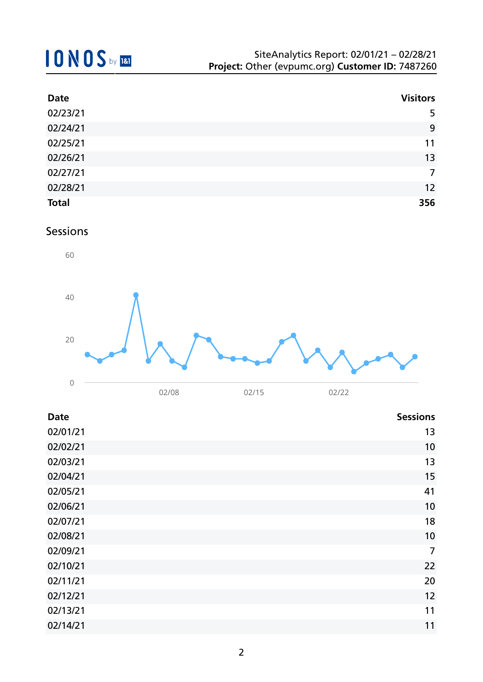| <b>Date</b>  | <b>Visitors</b> |
|--------------|-----------------|
| 02/23/21     | 5               |
| 02/24/21     | 9               |
| 02/25/21     | 11              |
| 02/26/21     | 13              |
| 02/27/21     | 7               |
| 02/28/21     | 12              |
| <b>Total</b> | 356             |

### Sessions



| <b>Date</b> | <b>Sessions</b> |
|-------------|-----------------|
| 02/01/21    | 13              |
| 02/02/21    | 10              |
| 02/03/21    | 13              |
| 02/04/21    | 15              |
| 02/05/21    | 41              |
| 02/06/21    | 10              |
| 02/07/21    | 18              |
| 02/08/21    | 10              |
| 02/09/21    | 7               |
| 02/10/21    | 22              |
| 02/11/21    | 20              |
| 02/12/21    | 12              |
| 02/13/21    | 11              |
| 02/14/21    | 11              |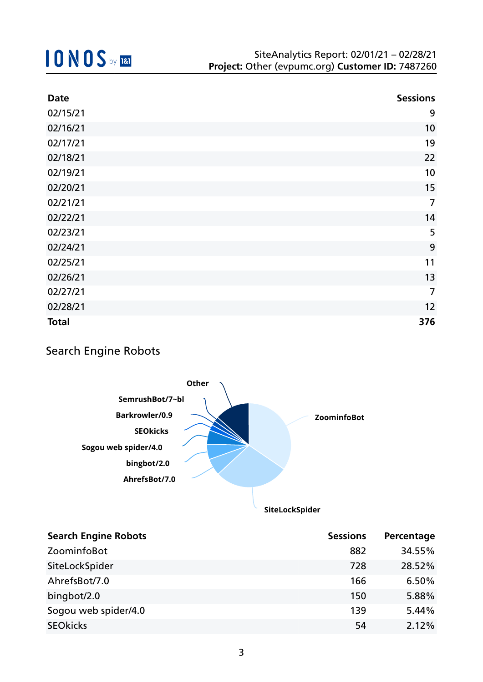| <b>Date</b>  | <b>Sessions</b> |
|--------------|-----------------|
| 02/15/21     | 9               |
| 02/16/21     | 10              |
| 02/17/21     | 19              |
| 02/18/21     | 22              |
| 02/19/21     | 10              |
| 02/20/21     | 15              |
| 02/21/21     | $\overline{7}$  |
| 02/22/21     | 14              |
| 02/23/21     | 5               |
| 02/24/21     | 9               |
| 02/25/21     | 11              |
| 02/26/21     | 13              |
| 02/27/21     | $\overline{7}$  |
| 02/28/21     | 12              |
| <b>Total</b> | 376             |

## Search Engine Robots



**SiteLockSpider**

| <b>Search Engine Robots</b> | <b>Sessions</b> | Percentage |
|-----------------------------|-----------------|------------|
| ZoominfoBot                 | 882             | 34.55%     |
| SiteLockSpider              | 728             | 28.52%     |
| AhrefsBot/7.0               | 166             | 6.50%      |
| bingbot/2.0                 | 150             | 5.88%      |
| Sogou web spider/4.0        | 139             | 5.44%      |
| <b>SEOkicks</b>             | 54              | 2.12%      |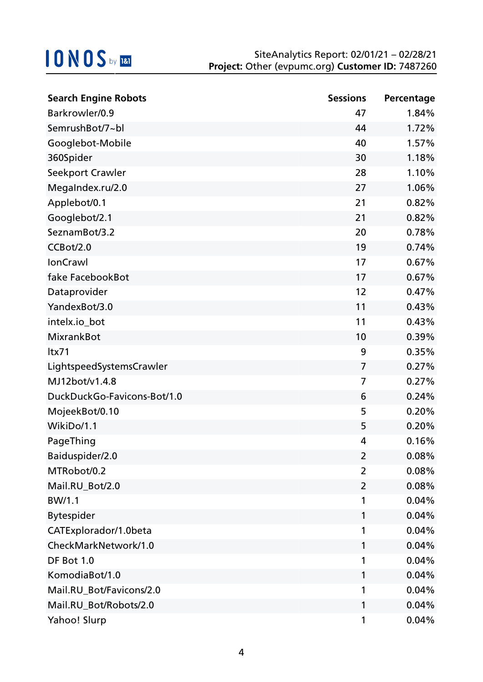| <b>Search Engine Robots</b> | <b>Sessions</b> | Percentage |
|-----------------------------|-----------------|------------|
| Barkrowler/0.9              | 47              | 1.84%      |
| SemrushBot/7~bl             | 44              | 1.72%      |
| Googlebot-Mobile            | 40              | 1.57%      |
| 360Spider                   | 30              | 1.18%      |
| Seekport Crawler            | 28              | 1.10%      |
| MegaIndex.ru/2.0            | 27              | 1.06%      |
| Applebot/0.1                | 21              | 0.82%      |
| Googlebot/2.1               | 21              | 0.82%      |
| SeznamBot/3.2               | 20              | 0.78%      |
| CCBot/2.0                   | 19              | 0.74%      |
| <b>IonCrawl</b>             | 17              | 0.67%      |
| fake FacebookBot            | 17              | 0.67%      |
| Dataprovider                | 12              | 0.47%      |
| YandexBot/3.0               | 11              | 0.43%      |
| intelx.io_bot               | 11              | 0.43%      |
| <b>MixrankBot</b>           | 10              | 0.39%      |
| ltx71                       | 9               | 0.35%      |
| LightspeedSystemsCrawler    | $\overline{7}$  | 0.27%      |
| MJ12bot/v1.4.8              | 7               | 0.27%      |
| DuckDuckGo-Favicons-Bot/1.0 | 6               | 0.24%      |
| MojeekBot/0.10              | 5               | 0.20%      |
| WikiDo/1.1                  | 5               | 0.20%      |
| PageThing                   | 4               | 0.16%      |
| Baiduspider/2.0             | 2               | 0.08%      |
| MTRobot/0.2                 | $\overline{2}$  | 0.08%      |
| Mail.RU_Bot/2.0             | 2               | 0.08%      |
| BW/1.1                      | 1               | 0.04%      |
| <b>Bytespider</b>           | 1               | 0.04%      |
| CATExplorador/1.0beta       | 1               | 0.04%      |
| CheckMarkNetwork/1.0        | 1               | 0.04%      |
| DF Bot 1.0                  | 1               | 0.04%      |
| KomodiaBot/1.0              | 1               | 0.04%      |
| Mail.RU_Bot/Favicons/2.0    | 1               | 0.04%      |
| Mail.RU_Bot/Robots/2.0      | 1               | 0.04%      |
| Yahoo! Slurp                | 1               | 0.04%      |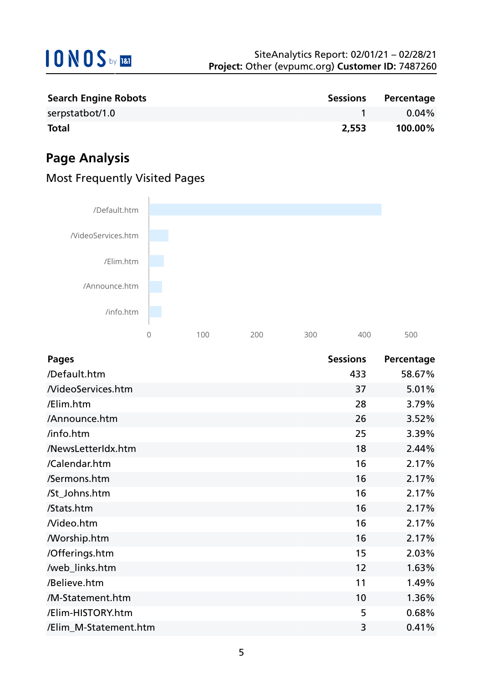

| <b>Search Engine Robots</b> |       | Sessions Percentage |
|-----------------------------|-------|---------------------|
| serpstatbot/1.0             |       | 0.04%               |
| <b>Total</b>                | 2,553 | 100.00%             |

## **Page Analysis**





| <b>Pages</b>             | <b>Sessions</b> | Percentage |
|--------------------------|-----------------|------------|
| /Default.htm             | 433             | 58.67%     |
| <b>NideoServices.htm</b> | 37              | 5.01%      |
| /Elim.htm                | 28              | 3.79%      |
| /Announce.htm            | 26              | 3.52%      |
| /info.htm                | 25              | 3.39%      |
| /NewsLetterIdx.htm       | 18              | 2.44%      |
| /Calendar.htm            | 16              | 2.17%      |
| /Sermons.htm             | 16              | 2.17%      |
| /St_Johns.htm            | 16              | 2.17%      |
| /Stats.htm               | 16              | 2.17%      |
| Nideo.htm                | 16              | 2.17%      |
| <b>Morship.htm</b>       | 16              | 2.17%      |
| /Offerings.htm           | 15              | 2.03%      |
| /web_links.htm           | 12              | 1.63%      |
| /Believe.htm             | 11              | 1.49%      |
| /M-Statement.htm         | 10              | 1.36%      |
| /Elim-HISTORY.htm        | 5               | 0.68%      |
| /Elim_M-Statement.htm    | 3               | 0.41%      |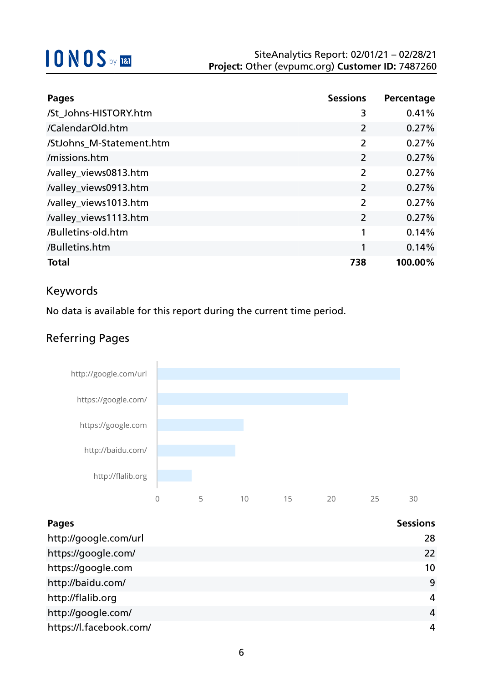| <b>Pages</b>             | <b>Sessions</b> | Percentage |
|--------------------------|-----------------|------------|
| /St_Johns-HISTORY.htm    | 3               | 0.41%      |
| /CalendarOld.htm         | $\overline{2}$  | 0.27%      |
| /StJohns M-Statement.htm | $\overline{2}$  | 0.27%      |
| /missions.htm            | $\overline{2}$  | 0.27%      |
| /valley_views0813.htm    | $\overline{2}$  | 0.27%      |
| /valley_views0913.htm    | $\overline{2}$  | 0.27%      |
| /valley_views1013.htm    | $\overline{2}$  | 0.27%      |
| /valley_views1113.htm    | $\overline{2}$  | 0.27%      |
| /Bulletins-old.htm       | 1               | 0.14%      |
| /Bulletins.htm           | 1               | 0.14%      |
| <b>Total</b>             | 738             | 100.00%    |

## Keywords

No data is available for this report during the current time period.

## Referring Pages



| Pages                   | <b>Sessions</b> |
|-------------------------|-----------------|
| http://google.com/url   | 28              |
| https://google.com/     | 22              |
| https://google.com      | 10              |
| http://baidu.com/       | 9               |
| http://flalib.org       | 4               |
| http://google.com/      | 4               |
| https://l.facebook.com/ | 4               |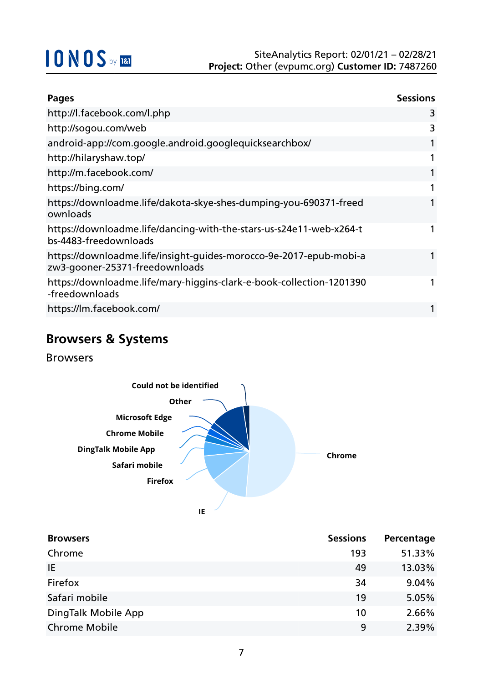| <b>Pages</b>                                                                                         | <b>Sessions</b> |
|------------------------------------------------------------------------------------------------------|-----------------|
| http://l.facebook.com/l.php                                                                          | 3               |
| http://sogou.com/web                                                                                 | 3               |
| android-app://com.google.android.googlequicksearchbox/                                               |                 |
| http://hilaryshaw.top/                                                                               |                 |
| http://m.facebook.com/                                                                               |                 |
| https://bing.com/                                                                                    |                 |
| https://downloadme.life/dakota-skye-shes-dumping-you-690371-freed<br>ownloads                        |                 |
| https://downloadme.life/dancing-with-the-stars-us-s24e11-web-x264-t<br>bs-4483-freedownloads         |                 |
| https://downloadme.life/insight-guides-morocco-9e-2017-epub-mobi-a<br>zw3-gooner-25371-freedownloads |                 |
| https://downloadme.life/mary-higgins-clark-e-book-collection-1201390<br>-freedownloads               |                 |
| https://lm.facebook.com/                                                                             |                 |

## **Browsers & Systems**

Browsers



| <b>Browsers</b>      | <b>Sessions</b> | Percentage |
|----------------------|-----------------|------------|
| Chrome               | 193             | 51.33%     |
| IE.                  | 49              | 13.03%     |
| Firefox              | 34              | 9.04%      |
| Safari mobile        | 19              | 5.05%      |
| DingTalk Mobile App  | 10              | 2.66%      |
| <b>Chrome Mobile</b> | 9               | 2.39%      |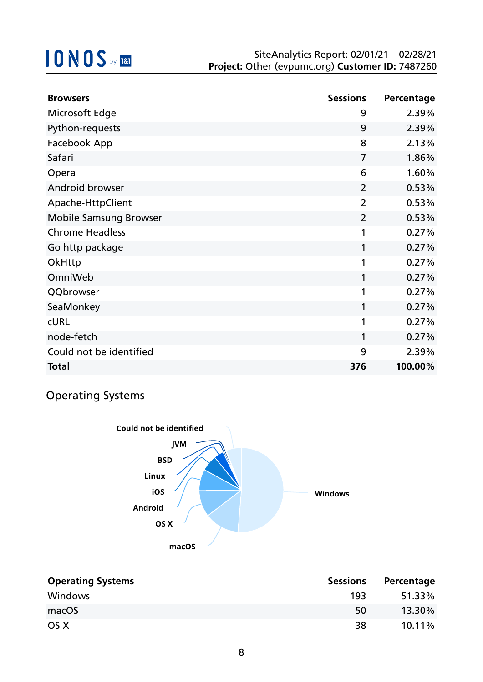| <b>Browsers</b>               | <b>Sessions</b> | Percentage |
|-------------------------------|-----------------|------------|
| Microsoft Edge                | 9               | 2.39%      |
| Python-requests               | 9               | 2.39%      |
| Facebook App                  | 8               | 2.13%      |
| Safari                        | $\overline{7}$  | 1.86%      |
| Opera                         | 6               | 1.60%      |
| Android browser               | $\overline{2}$  | 0.53%      |
| Apache-HttpClient             | $\overline{2}$  | 0.53%      |
| <b>Mobile Samsung Browser</b> | $\overline{2}$  | 0.53%      |
| <b>Chrome Headless</b>        | 1               | 0.27%      |
| Go http package               | 1               | 0.27%      |
| OkHttp                        | 1               | 0.27%      |
| OmniWeb                       | 1               | 0.27%      |
| QQbrowser                     | 1               | 0.27%      |
| SeaMonkey                     | 1               | 0.27%      |
| <b>CURL</b>                   | 1               | 0.27%      |
| node-fetch                    | 1               | 0.27%      |
| Could not be identified       | 9               | 2.39%      |
| <b>Total</b>                  | 376             | 100.00%    |

## Operating Systems



| <b>Operating Systems</b> | <b>Sessions</b> | Percentage |
|--------------------------|-----------------|------------|
| Windows                  | 193             | 51.33%     |
| macOS                    | 50              | 13.30%     |
| OS X                     | 38              | $10.11\%$  |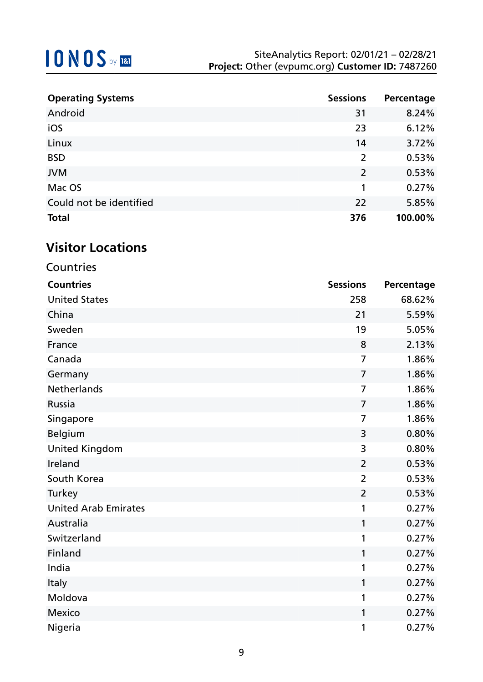| <b>Operating Systems</b> | <b>Sessions</b> | Percentage |
|--------------------------|-----------------|------------|
| Android                  | 31              | 8.24%      |
| iOS                      | 23              | 6.12%      |
| Linux                    | 14              | 3.72%      |
| <b>BSD</b>               | $\overline{2}$  | 0.53%      |
| <b>JVM</b>               | $\overline{2}$  | 0.53%      |
| Mac OS                   | 1               | 0.27%      |
| Could not be identified  | 22              | 5.85%      |
| <b>Total</b>             | 376             | 100.00%    |

## **Visitor Locations**

| Countries                   |                 |            |
|-----------------------------|-----------------|------------|
| <b>Countries</b>            | <b>Sessions</b> | Percentage |
| <b>United States</b>        | 258             | 68.62%     |
| China                       | 21              | 5.59%      |
| Sweden                      | 19              | 5.05%      |
| France                      | 8               | 2.13%      |
| Canada                      | $\overline{7}$  | 1.86%      |
| Germany                     | $\overline{7}$  | 1.86%      |
| <b>Netherlands</b>          | $\overline{7}$  | 1.86%      |
| Russia                      | $\overline{7}$  | 1.86%      |
| Singapore                   | $\overline{7}$  | 1.86%      |
| <b>Belgium</b>              | 3               | 0.80%      |
| <b>United Kingdom</b>       | 3               | 0.80%      |
| Ireland                     | $\overline{2}$  | 0.53%      |
| South Korea                 | $\overline{2}$  | 0.53%      |
| Turkey                      | $\overline{2}$  | 0.53%      |
| <b>United Arab Emirates</b> | 1               | 0.27%      |
| Australia                   | 1               | 0.27%      |
| Switzerland                 | 1               | 0.27%      |
| Finland                     | 1               | 0.27%      |
| India                       | 1               | 0.27%      |
| Italy                       | 1               | 0.27%      |
| Moldova                     | 1               | 0.27%      |
| <b>Mexico</b>               | 1               | 0.27%      |
| Nigeria                     | 1               | 0.27%      |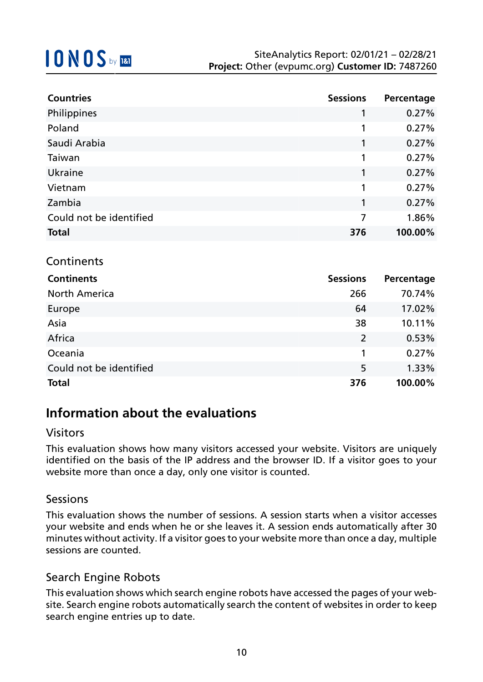| <b>Countries</b>        | <b>Sessions</b> | Percentage |
|-------------------------|-----------------|------------|
| Philippines             | 1               | 0.27%      |
| Poland                  |                 | 0.27%      |
| Saudi Arabia            |                 | 0.27%      |
| Taiwan                  | 1               | 0.27%      |
| Ukraine                 | 1               | 0.27%      |
| Vietnam                 | 1               | 0.27%      |
| Zambia                  | 1               | 0.27%      |
| Could not be identified | 7               | 1.86%      |
| <b>Total</b>            | 376             | 100.00%    |

### Continents

| <b>Continents</b>       | <b>Sessions</b> | Percentage |
|-------------------------|-----------------|------------|
| <b>North America</b>    | 266             | 70.74%     |
| Europe                  | 64              | 17.02%     |
| Asia                    | 38              | 10.11%     |
| Africa                  | $\overline{2}$  | 0.53%      |
| Oceania                 |                 | 0.27%      |
| Could not be identified | 5               | 1.33%      |
| <b>Total</b>            | 376             | 100.00%    |

## **Information about the evaluations**

### Visitors

This evaluation shows how many visitors accessed your website. Visitors are uniquely identified on the basis of the IP address and the browser ID. If a visitor goes to your website more than once a day, only one visitor is counted.

### Sessions

This evaluation shows the number of sessions. A session starts when a visitor accesses your website and ends when he or she leaves it. A session ends automatically after 30 minutes without activity. If a visitor goes to your website more than once a day, multiple sessions are counted.

### Search Engine Robots

This evaluation shows which search engine robots have accessed the pages of your website. Search engine robots automatically search the content of websites in order to keep search engine entries up to date.